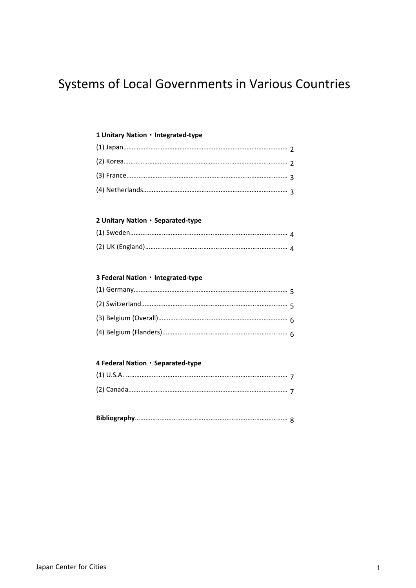# Systems of Local Governments in Various Countries

#### **1 Unitary Nation**・**Integrated-type**

#### **2 Unitary Nation**・**Separated-type**

### **3 Federal Nation**・**Integrated-type**

## **4 Federal Nation**・**Separated-type**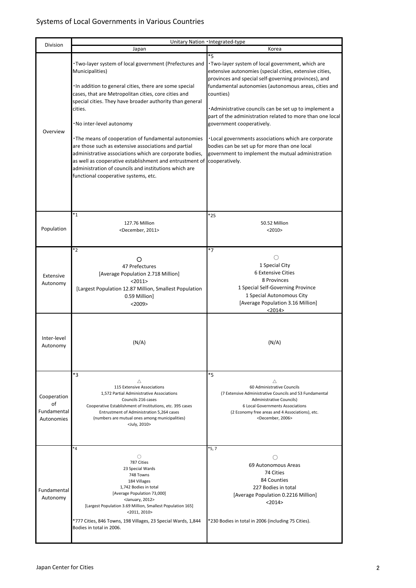| Division                                       | Unitary Nation · Integrated-type                                                                                                                                                                                                                                                                                                                                                                                                                                                                                                                                                                                                                       |                                                                                                                                                                                                                                                                                                                                                                                                                                                                                                                                                                    |  |
|------------------------------------------------|--------------------------------------------------------------------------------------------------------------------------------------------------------------------------------------------------------------------------------------------------------------------------------------------------------------------------------------------------------------------------------------------------------------------------------------------------------------------------------------------------------------------------------------------------------------------------------------------------------------------------------------------------------|--------------------------------------------------------------------------------------------------------------------------------------------------------------------------------------------------------------------------------------------------------------------------------------------------------------------------------------------------------------------------------------------------------------------------------------------------------------------------------------------------------------------------------------------------------------------|--|
|                                                | Japan                                                                                                                                                                                                                                                                                                                                                                                                                                                                                                                                                                                                                                                  | Korea                                                                                                                                                                                                                                                                                                                                                                                                                                                                                                                                                              |  |
| Overview                                       | . Two-layer system of local government (Prefectures and<br>Municipalities)<br>· In addition to general cities, there are some special<br>cases, that are Metropolitan cities, core cities and<br>special cities. They have broader authority than general<br>cities.<br>·No inter-level autonomy<br>• The means of cooperation of fundamental autonomies<br>are those such as extensive associations and partial<br>administrative associations which are corporate bodies,<br>as well as cooperative establishment and entrustment of cooperatively.<br>administration of councils and institutions which are<br>functional cooperative systems, etc. | $*5$<br>. Two-layer system of local government, which are<br>extensive autonomies (special cities, extensive cities,<br>provinces and special self-governing provinces), and<br>fundamental autonomies (autonomous areas, cities and<br>counties)<br>• Administrative councils can be set up to implement a<br>part of the administration related to more than one local<br>government cooperatively.<br>• Local governments associations which are corporate<br>bodies can be set up for more than one local<br>government to implement the mutual administration |  |
|                                                |                                                                                                                                                                                                                                                                                                                                                                                                                                                                                                                                                                                                                                                        |                                                                                                                                                                                                                                                                                                                                                                                                                                                                                                                                                                    |  |
| Population                                     | *1<br>127.76 Million<br><december, 2011=""></december,>                                                                                                                                                                                                                                                                                                                                                                                                                                                                                                                                                                                                | *25<br>50.52 Million<br><2010                                                                                                                                                                                                                                                                                                                                                                                                                                                                                                                                      |  |
| Extensive<br>Autonomy                          | *2<br>O<br>47 Prefectures<br>[Average Population 2.718 Million]<br><2011><br>[Largest Population 12.87 Million, Smallest Population<br>0.59 Million]<br>$<$ 2009>                                                                                                                                                                                                                                                                                                                                                                                                                                                                                      | $*7$<br>$\bigcirc$<br>1 Special City<br>6 Extensive Cities<br>8 Provinces<br>1 Special Self-Governing Province<br>1 Special Autonomous City<br>[Average Population 3.16 Million]<br><2014>                                                                                                                                                                                                                                                                                                                                                                         |  |
| Inter-level<br>Autonomy                        | (N/A)                                                                                                                                                                                                                                                                                                                                                                                                                                                                                                                                                                                                                                                  | (N/A)                                                                                                                                                                                                                                                                                                                                                                                                                                                                                                                                                              |  |
| Cooperation<br>of<br>Fundamental<br>Autonomies | *3<br>Δ<br>115 Extensive Associations<br>1,572 Partial Administrative Associations<br>Councils 216 cases<br>Cooperative Establishment of Institutions, etc. 395 cases<br>Entrustment of Administration 5,264 cases<br>(numbers are mutual ones among municipalities)<br><july, 2010=""></july,>                                                                                                                                                                                                                                                                                                                                                        | *5<br>Δ<br>60 Administrative Councils<br>(7 Extensive Administrative Councils and 53 Fundamental<br>Administrative Councils)<br>6 Local Governments Associations<br>(2 Economy free areas and 4 Associations), etc.<br><december, 2006=""></december,>                                                                                                                                                                                                                                                                                                             |  |
| Fundamental<br>Autonomy                        | ۰4<br>О<br>787 Cities<br>23 Special Wards<br>748 Towns<br>184 Villages<br>1,742 Bodies in total<br>[Average Population 73,000]<br><january, 2012=""><br/>[Largest Population 3.69 Million, Smallest Population 165]<br/>&lt;2011, 2010&gt;<br/>*777 Cities, 846 Towns, 198 Villages, 23 Special Wards, 1,844<br/>Bodies in total in 2006.</january,>                                                                                                                                                                                                                                                                                                   | *5, 7<br>69 Autonomous Areas<br>74 Cities<br>84 Counties<br>227 Bodies in total<br>[Average Population 0.2216 Million]<br><2014><br>*230 Bodies in total in 2006 (including 75 Cities).                                                                                                                                                                                                                                                                                                                                                                            |  |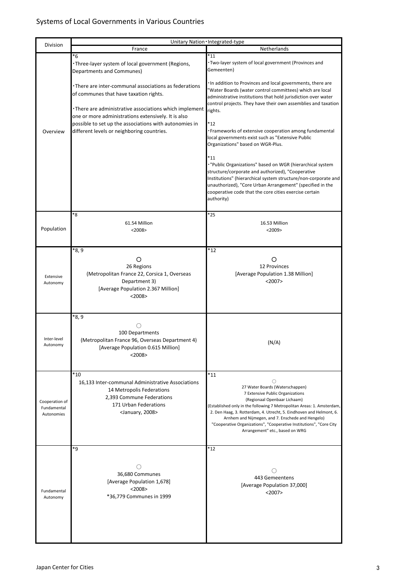|                                             | Unitary Nation Integrated-type                                                                                                                                                                                                                                                                                            |                                                                                                                                                                                                                                                                                                                                                                                                                                   |  |
|---------------------------------------------|---------------------------------------------------------------------------------------------------------------------------------------------------------------------------------------------------------------------------------------------------------------------------------------------------------------------------|-----------------------------------------------------------------------------------------------------------------------------------------------------------------------------------------------------------------------------------------------------------------------------------------------------------------------------------------------------------------------------------------------------------------------------------|--|
| Division                                    | France                                                                                                                                                                                                                                                                                                                    | Netherlands                                                                                                                                                                                                                                                                                                                                                                                                                       |  |
|                                             | *6<br>. Three-layer system of local government (Regions,<br>Departments and Communes)                                                                                                                                                                                                                                     | $\overline{11}$<br>· Two-layer system of local government (Provinces and<br>Gemeenten)                                                                                                                                                                                                                                                                                                                                            |  |
| Overview                                    | •There are inter-communal associations as federations<br>of communes that have taxation rights.<br>• There are administrative associations which implement<br>one or more administrations extensively. It is also<br>possible to set up the associations with autonomies in<br>different levels or neighboring countries. | In addition to Provinces and local governments, there are<br>'Water Boards (water control committees) which are local<br>administrative institutions that hold jurisdiction over water<br>control projects. They have their own assemblies and taxation<br>rights.<br>*12<br>· Frameworks of extensive cooperation among fundamental<br>local governments exist such as "Extensive Public<br>Organizations" based on WGR-Plus.    |  |
|                                             |                                                                                                                                                                                                                                                                                                                           | $*11$<br>. "Public Organizations" based on WGR (hierarchical system<br>structure/corporate and authorized), "Cooperative<br>Institutions" (hierarchical system structure/non-corporate and<br>unauthorized), "Core Urban Arrangement" (specified in the<br>cooperative code that the core cities exercise certain<br>authority)                                                                                                   |  |
| Population                                  | *8<br>61.54 Million<br>$<$ 2008>                                                                                                                                                                                                                                                                                          | *25<br>16.53 Million<br>$<$ 2009>                                                                                                                                                                                                                                                                                                                                                                                                 |  |
| Extensive<br>Autonomy                       | *8, 9<br>O<br>26 Regions<br>(Metropolitan France 22, Corsica 1, Overseas<br>Department 3)<br>[Average Population 2.367 Million]<br>$<$ 2008>                                                                                                                                                                              | $*12$<br>O<br>12 Provinces<br>[Average Population 1.38 Million]<br>$<$ 2007>                                                                                                                                                                                                                                                                                                                                                      |  |
| Inter-level<br>Autonomy                     | *8, 9<br>◯<br>100 Departments<br>(Metropolitan France 96, Overseas Department 4)<br>[Average Population 0.615 Million]<br>$<$ 2008>                                                                                                                                                                                       | (N/A)                                                                                                                                                                                                                                                                                                                                                                                                                             |  |
| Cooperation of<br>Fundamental<br>Autonomies | $*10$<br>16,133 Inter-communal Administrative Associations<br>14 Metropolis Federations<br>2,393 Commune Federations<br>171 Urban Federations<br><january, 2008=""></january,>                                                                                                                                            | $*11$<br>O<br>27 Water Boards (Waterschappen)<br>7 Extensive Public Organizations<br>(Regionaal Openbaar Lichaam)<br>(Established only in the following 7 Metropolitan Areas: 1. Amsterdam,<br>2. Den Haag, 3. Rotterdam, 4. Utrecht, 5. Eindhoven and Helmont, 6.<br>Arnhem and Nijmegen, and 7. Enschede and Hengelo)<br>"Cooperative Organizations", "Cooperative Institutions", "Core City<br>Arrangement" etc., based on WRG |  |
| Fundamental<br>Autonomy                     | *9<br>( )<br>36,680 Communes<br>[Average Population 1,678]<br>$<$ 2008><br>*36,779 Communes in 1999                                                                                                                                                                                                                       | $*12$<br>443 Gemeentens<br>[Average Population 37,000]<br>$<$ 2007>                                                                                                                                                                                                                                                                                                                                                               |  |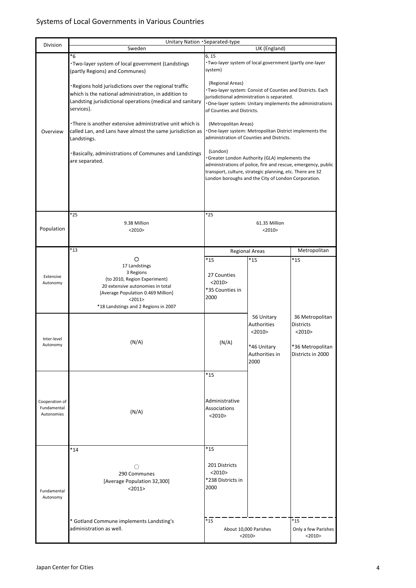| Division                                    | Unitary Nation Separated-type                                                                                                                                                             |                                                      |                                                                                                                                                                   |                                                                                       |
|---------------------------------------------|-------------------------------------------------------------------------------------------------------------------------------------------------------------------------------------------|------------------------------------------------------|-------------------------------------------------------------------------------------------------------------------------------------------------------------------|---------------------------------------------------------------------------------------|
|                                             | Sweden                                                                                                                                                                                    | 6, 15                                                | UK (England)                                                                                                                                                      |                                                                                       |
|                                             | *6<br>. Two-layer system of local government (Landstings)<br>(partly Regions) and Communes)                                                                                               | system)                                              | ·Two-layer system of local government (partly one-layer                                                                                                           |                                                                                       |
|                                             | . Regions hold jurisdictions over the regional traffic<br>which is the national administration, in addition to<br>Landsting jurisdictional operations (medical and sanitary<br>services). | (Regional Areas)<br>of Counties and Districts.       | Two-layer system: Consist of Counties and Districts. Each<br>jurisdictional administration is separated.                                                          | One-layer system: Unitary implements the administrations                              |
| Overview                                    | •There is another extensive administrative unit which is<br>called Lan, and Lans have almost the same jurisdiction as<br>Landstings.                                                      | (Metropolitan Areas)                                 | One-layer system: Metropolitan District implements the<br>administration of Counties and Districts.                                                               |                                                                                       |
|                                             | · Basically, administrations of Communes and Landstings<br>are separated.                                                                                                                 | (London)                                             | Greater London Authority (GLA) implements the<br>transport, culture, strategic planning, etc. There are 32<br>London boroughs and the City of London Corporation. | administrations of police, fire and rescue, emergency, public                         |
|                                             |                                                                                                                                                                                           |                                                      |                                                                                                                                                                   |                                                                                       |
| Population                                  | *25<br>9.38 Million<br>$<$ 2010>                                                                                                                                                          | *25                                                  | 61.35 Million<br>$<$ 2010>                                                                                                                                        |                                                                                       |
|                                             | $*13$                                                                                                                                                                                     |                                                      | <b>Regional Areas</b>                                                                                                                                             | Metropolitan                                                                          |
|                                             | O                                                                                                                                                                                         | *15                                                  | $*15$                                                                                                                                                             | *15                                                                                   |
| Extensive<br>Autonomy                       | 17 Landstings<br>3 Regions<br>(to 2010, Region Experiment)<br>20 extensive autonomies in total<br>[Average Population 0.469 Million]<br><2011><br>*18 Landstings and 2 Regions in 2007    | 27 Counties<br><2010><br>*35 Counties in<br>2000     |                                                                                                                                                                   |                                                                                       |
| Inter-level<br>Autonomy                     | (N/A)                                                                                                                                                                                     | (N/A)                                                | 56 Unitary<br>Authorities<br><2010><br>*46 Unitary<br>Authorities in<br>2000                                                                                      | 36 Metropolitan<br>Districts<br>$<$ 2010 $>$<br>*36 Metropolitan<br>Districts in 2000 |
|                                             |                                                                                                                                                                                           | *15                                                  |                                                                                                                                                                   |                                                                                       |
| Cooperation of<br>Fundamental<br>Autonomies | (N/A)                                                                                                                                                                                     | Administrative<br>Associations<br>$<$ 2010 $>$       |                                                                                                                                                                   |                                                                                       |
|                                             | $*14$                                                                                                                                                                                     | *15                                                  |                                                                                                                                                                   |                                                                                       |
| Fundamental<br>Autonomy                     | ()<br>290 Communes<br>[Average Population 32,300]<br><2011>                                                                                                                               | 201 Districts<br><2010><br>*238 Districts in<br>2000 |                                                                                                                                                                   |                                                                                       |
|                                             | * Gotland Commune implements Landsting's<br>administration as well.                                                                                                                       | $*15$                                                | About 10,000 Parishes<br>$<$ 2010>                                                                                                                                | $*15$<br>Only a few Parishes<br><2010>                                                |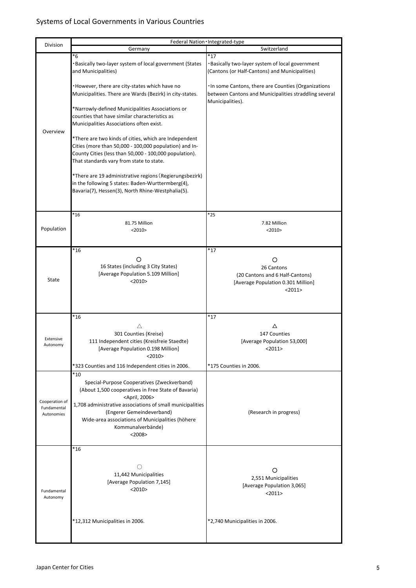| Division                                    | Federal Nation Integrated-type                                                                                                                                                                                                                                                                                                                              |                                                                                                                                   |  |
|---------------------------------------------|-------------------------------------------------------------------------------------------------------------------------------------------------------------------------------------------------------------------------------------------------------------------------------------------------------------------------------------------------------------|-----------------------------------------------------------------------------------------------------------------------------------|--|
|                                             | Switzerland<br>Germany                                                                                                                                                                                                                                                                                                                                      |                                                                                                                                   |  |
|                                             | *6<br>Basically two-layer system of local government (States<br>and Municipalities)                                                                                                                                                                                                                                                                         | $*17$<br>· Basically two-layer system of local government<br>(Cantons (or Half-Cantons) and Municipalities)                       |  |
|                                             | . However, there are city-states which have no<br>Municipalities. There are Wards (Bezirk) in city-states.                                                                                                                                                                                                                                                  | · In some Cantons, there are Counties (Organizations<br>between Cantons and Municipalities straddling several<br>Municipalities). |  |
| Overview                                    | *Narrowly-defined Municipalities Associations or<br>counties that have similar characteristics as<br>Municipalities Associations often exist.                                                                                                                                                                                                               |                                                                                                                                   |  |
|                                             | *There are two kinds of cities, which are Independent<br>Cities (more than 50,000 - 100,000 population) and In-<br>County Cities (less than 50,000 - 100,000 population).<br>That standards vary from state to state.                                                                                                                                       |                                                                                                                                   |  |
|                                             | *There are 19 administrative regions (Regierungsbezirk)<br>in the following 5 states: Baden-Wurttermberg(4),<br>Bavaria(7), Hessen(3), North Rhine-Westphalia(5).                                                                                                                                                                                           |                                                                                                                                   |  |
|                                             | $*16$                                                                                                                                                                                                                                                                                                                                                       | *25                                                                                                                               |  |
| Population                                  | 81.75 Million<br><2010                                                                                                                                                                                                                                                                                                                                      | 7.82 Million<br><2010                                                                                                             |  |
|                                             | $*16$                                                                                                                                                                                                                                                                                                                                                       | $*17$                                                                                                                             |  |
| State                                       | O<br>16 States (including 3 City States)<br>[Average Population 5.109 Million]<br>$<$ 2010 $>$                                                                                                                                                                                                                                                              | O<br>26 Cantons<br>(20 Cantons and 6 Half-Cantons)<br>[Average Population 0.301 Million]<br><2011>                                |  |
|                                             | $*16$                                                                                                                                                                                                                                                                                                                                                       | $*17$                                                                                                                             |  |
| Extensive<br>Autonomy                       | Δ<br>301 Counties (Kreise)<br>111 Independent cities (Kreisfreie Staedte)<br>[Average Population 0.198 Million]<br><2010>                                                                                                                                                                                                                                   | Δ<br>147 Counties<br>[Average Population 53,000]<br>$2011$                                                                        |  |
|                                             | *323 Counties and 116 Independent cities in 2006.                                                                                                                                                                                                                                                                                                           | *175 Counties in 2006.                                                                                                            |  |
| Cooperation of<br>Fundamental<br>Autonomies | $*10$<br>Special-Purpose Cooperatives (Zweckverband)<br>(About 1,500 cooperatives in Free State of Bavaria)<br><april, 2006=""><br/>1,708 administrative associations of small municipalities<br/>(Engerer Gemeindeverband)<br/>Wide-area associations of Municipalities (höhere<br/>Kommunalverbände)<br/><math>&lt;</math> 2008<math>&gt;</math></april,> | (Research in progress)                                                                                                            |  |
|                                             | $*16$                                                                                                                                                                                                                                                                                                                                                       |                                                                                                                                   |  |
| Fundamental<br>Autonomy                     | ()<br>11,442 Municipalities<br>[Average Population 7,145]<br>$<$ 2010 $>$                                                                                                                                                                                                                                                                                   | O<br>2,551 Municipalities<br>[Average Population 3,065]<br><2011>                                                                 |  |
|                                             | *12,312 Municipalities in 2006.                                                                                                                                                                                                                                                                                                                             | *2,740 Municipalities in 2006.                                                                                                    |  |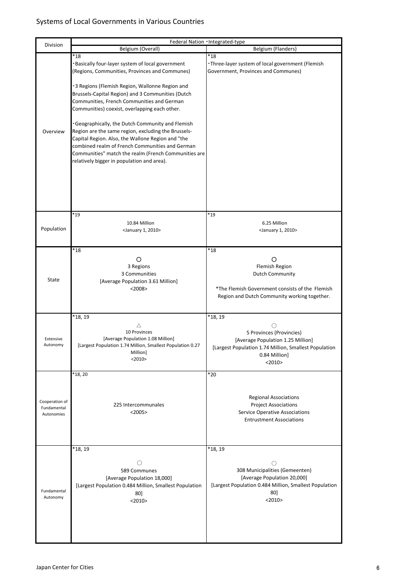|                                             | Federal Nation Integrated-type                                                                                                                                                                                                                                                                                                                                                                                                                                                                                                                                                                                                                                                                                                                    |                                                                                                                                                                                                                     |  |
|---------------------------------------------|---------------------------------------------------------------------------------------------------------------------------------------------------------------------------------------------------------------------------------------------------------------------------------------------------------------------------------------------------------------------------------------------------------------------------------------------------------------------------------------------------------------------------------------------------------------------------------------------------------------------------------------------------------------------------------------------------------------------------------------------------|---------------------------------------------------------------------------------------------------------------------------------------------------------------------------------------------------------------------|--|
| Division                                    | Belgium (Overall)                                                                                                                                                                                                                                                                                                                                                                                                                                                                                                                                                                                                                                                                                                                                 | Belgium (Flanders)                                                                                                                                                                                                  |  |
| Overview                                    | $*18$<br>$*18$<br>·Basically four-layer system of local government<br>· Three-layer system of local government (Flemish<br>(Regions, Communities, Provinces and Communes)<br>Government, Provinces and Communes)<br>·3 Regions (Flemish Region, Wallonne Region and<br>Brussels-Capital Region) and 3 Communities (Dutch<br>Communities, French Communities and German<br>Communities) coexist, overlapping each other.<br>. Geographically, the Dutch Community and Flemish<br>Region are the same region, excluding the Brussels-<br>Capital Region. Also, the Wallone Region and "the<br>combined realm of French Communities and German<br>Communities" match the realm (French Communities are<br>relatively bigger in population and area). |                                                                                                                                                                                                                     |  |
|                                             | $*19$                                                                                                                                                                                                                                                                                                                                                                                                                                                                                                                                                                                                                                                                                                                                             | $*19$                                                                                                                                                                                                               |  |
| Population                                  | 10.84 Million<br><january 1,="" 2010=""></january>                                                                                                                                                                                                                                                                                                                                                                                                                                                                                                                                                                                                                                                                                                | 6.25 Million<br><january 1,="" 2010=""></january>                                                                                                                                                                   |  |
| State                                       | $*_{18}$<br>O<br>3 Regions<br>3 Communities<br>[Average Population 3.61 Million]<br>$<$ 2008>                                                                                                                                                                                                                                                                                                                                                                                                                                                                                                                                                                                                                                                     | $*18$<br>Ω<br>Flemish Region<br><b>Dutch Community</b><br>*The Flemish Government consists of the Flemish<br>Region and Dutch Community working together.                                                           |  |
| Extensive<br>Autonomy                       | *18, 19<br>Δ<br>10 Provinces<br>[Average Population 1.08 Million]<br>[Largest Population 1.74 Million, Smallest Population 0.27<br>Million]<br><2010                                                                                                                                                                                                                                                                                                                                                                                                                                                                                                                                                                                              | *18, 19<br>$\left( \begin{array}{c} \cdot \end{array} \right)$<br>5 Provinces (Provincies)<br>[Average Population 1.25 Million]<br>[Largest Population 1.74 Million, Smallest Population<br>0.84 Million]<br><2010> |  |
| Cooperation of<br>Fundamental<br>Autonomies | *18, 20<br>225 Intercommunales<br>$<$ 2005>                                                                                                                                                                                                                                                                                                                                                                                                                                                                                                                                                                                                                                                                                                       | $*_{20}$<br><b>Regional Associations</b><br><b>Project Associations</b><br>Service Operative Associations<br><b>Entrustment Associations</b>                                                                        |  |
| Fundamental<br>Autonomy                     | *18, 19<br>Ο<br>589 Communes<br>[Average Population 18,000]<br>[Largest Population 0.484 Million, Smallest Population<br>80]<br><2010>                                                                                                                                                                                                                                                                                                                                                                                                                                                                                                                                                                                                            | *18, 19<br>∩<br>308 Municipalities (Gemeenten)<br>[Average Population 20,000]<br>[Largest Population 0.484 Million, Smallest Population<br>80]<br><2010                                                             |  |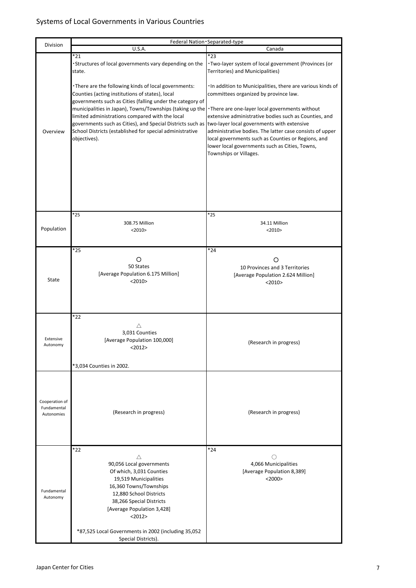|                                             | Federal Nation · Separated-type                                                                                                                                                                                                                                                                                                                                                                                                                                                                                                                      |                                                                                                                                                                                                                                                                                                                                                                                                                                                                                                                   |  |
|---------------------------------------------|------------------------------------------------------------------------------------------------------------------------------------------------------------------------------------------------------------------------------------------------------------------------------------------------------------------------------------------------------------------------------------------------------------------------------------------------------------------------------------------------------------------------------------------------------|-------------------------------------------------------------------------------------------------------------------------------------------------------------------------------------------------------------------------------------------------------------------------------------------------------------------------------------------------------------------------------------------------------------------------------------------------------------------------------------------------------------------|--|
| Division                                    | U.S.A.                                                                                                                                                                                                                                                                                                                                                                                                                                                                                                                                               | Canada                                                                                                                                                                                                                                                                                                                                                                                                                                                                                                            |  |
| Overview                                    | *21<br>·Structures of local governments vary depending on the<br>state.<br>. There are the following kinds of local governments:<br>Counties (acting institutions of states), local<br>governments such as Cities (falling under the category of<br>municipalities in Japan), Towns/Townships (taking up the<br>limited administrations compared with the local<br>governments such as Cities), and Special Districts such as two-layer local governments with extensive<br>School Districts (established for special administrative<br>objectives). | *23<br>· Two-layer system of local government (Provinces (or<br>Territories) and Municipalities)<br>· In addition to Municipalities, there are various kinds of<br>committees organized by province law.<br>•There are one-layer local governments without<br>extensive administrative bodies such as Counties, and<br>administrative bodies. The latter case consists of upper<br>local governments such as Counties or Regions, and<br>lower local governments such as Cities, Towns,<br>Townships or Villages. |  |
|                                             |                                                                                                                                                                                                                                                                                                                                                                                                                                                                                                                                                      |                                                                                                                                                                                                                                                                                                                                                                                                                                                                                                                   |  |
| Population                                  | $*25$<br>308.75 Million<br>$<$ 2010 $>$                                                                                                                                                                                                                                                                                                                                                                                                                                                                                                              | $*25$<br>34.11 Million<br>$<$ 2010>                                                                                                                                                                                                                                                                                                                                                                                                                                                                               |  |
| <b>State</b>                                | *25<br>O<br>50 States<br>[Average Population 6.175 Million]<br>$<$ 2010 $>$                                                                                                                                                                                                                                                                                                                                                                                                                                                                          | *24<br>Ω<br>10 Provinces and 3 Territories<br>[Average Population 2.624 Million]<br><2010>                                                                                                                                                                                                                                                                                                                                                                                                                        |  |
| Extensive<br>Autonomy                       | *22<br>Δ<br>3,031 Counties<br>[Average Population 100,000]<br><2012><br>*3,034 Counties in 2002.                                                                                                                                                                                                                                                                                                                                                                                                                                                     | (Research in progress)                                                                                                                                                                                                                                                                                                                                                                                                                                                                                            |  |
| Cooperation of<br>Fundamental<br>Autonomies | (Research in progress)                                                                                                                                                                                                                                                                                                                                                                                                                                                                                                                               | (Research in progress)                                                                                                                                                                                                                                                                                                                                                                                                                                                                                            |  |
| Fundamental<br>Autonomy                     | *22<br>Δ<br>90,056 Local governments<br>Of which, 3,031 Counties<br>19,519 Municipalities<br>16,360 Towns/Townships<br>12,880 School Districts<br>38,266 Special Districts<br>[Average Population 3,428]<br><2012><br>*87,525 Local Governments in 2002 (including 35,052<br>Special Districts).                                                                                                                                                                                                                                                     | *24<br>()<br>4,066 Municipalities<br>[Average Population 8,389]<br>$<$ 2000 $>$                                                                                                                                                                                                                                                                                                                                                                                                                                   |  |